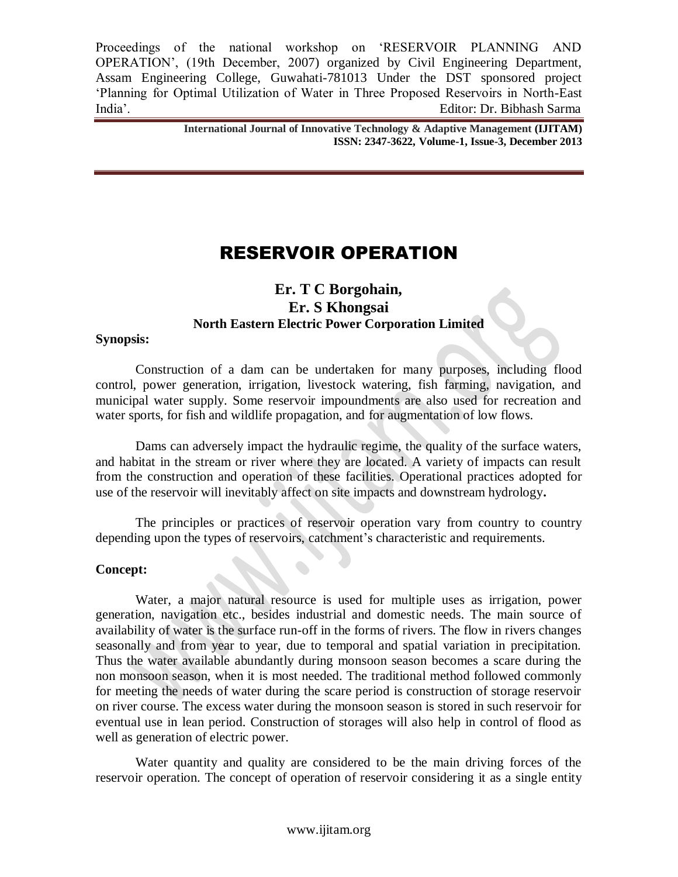**International Journal of Innovative Technology & Adaptive Management (IJITAM) ISSN: 2347-3622, Volume-1, Issue-3, December 2013**

# RESERVOIR OPERATION

# **Er. T C Borgohain, Er. S Khongsai North Eastern Electric Power Corporation Limited**

#### **Synopsis:**

Construction of a dam can be undertaken for many purposes, including flood control, power generation, irrigation, livestock watering, fish farming, navigation, and municipal water supply. Some reservoir impoundments are also used for recreation and water sports, for fish and wildlife propagation, and for augmentation of low flows.

Dams can adversely impact the hydraulic regime, the quality of the surface waters, and habitat in the stream or river where they are located. A variety of impacts can result from the construction and operation of these facilities. Operational practices adopted for use of the reservoir will inevitably affect on site impacts and downstream hydrology**.**

The principles or practices of reservoir operation vary from country to country depending upon the types of reservoirs, catchment's characteristic and requirements.

#### **Concept:**

Water, a major natural resource is used for multiple uses as irrigation, power generation, navigation etc., besides industrial and domestic needs. The main source of availability of water is the surface run-off in the forms of rivers. The flow in rivers changes seasonally and from year to year, due to temporal and spatial variation in precipitation. Thus the water available abundantly during monsoon season becomes a scare during the non monsoon season, when it is most needed. The traditional method followed commonly for meeting the needs of water during the scare period is construction of storage reservoir on river course. The excess water during the monsoon season is stored in such reservoir for eventual use in lean period. Construction of storages will also help in control of flood as well as generation of electric power.

Water quantity and quality are considered to be the main driving forces of the reservoir operation. The concept of operation of reservoir considering it as a single entity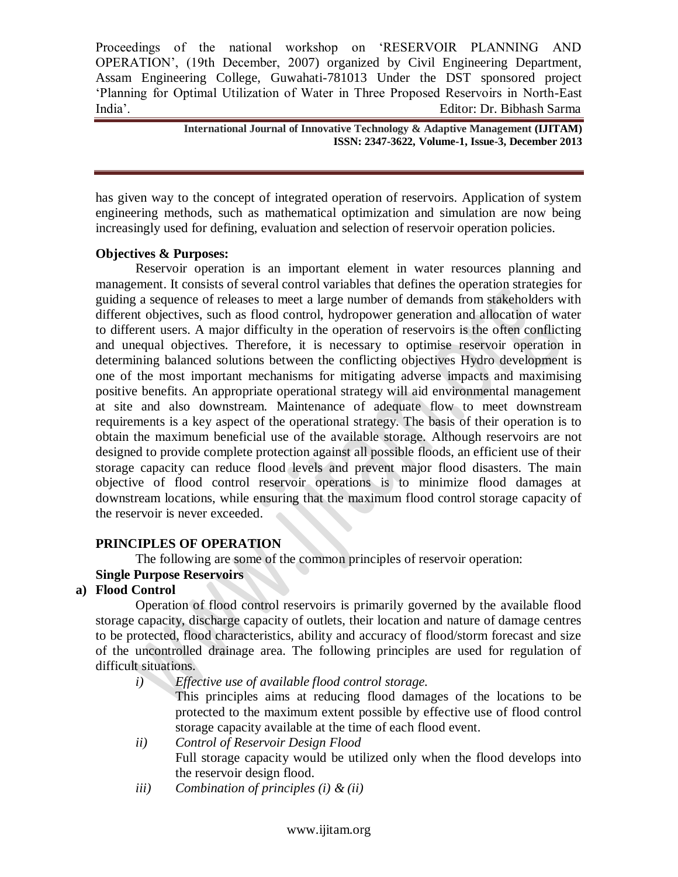> **International Journal of Innovative Technology & Adaptive Management (IJITAM) ISSN: 2347-3622, Volume-1, Issue-3, December 2013**

has given way to the concept of integrated operation of reservoirs. Application of system engineering methods, such as mathematical optimization and simulation are now being increasingly used for defining, evaluation and selection of reservoir operation policies.

#### **Objectives & Purposes:**

Reservoir operation is an important element in water resources planning and management. It consists of several control variables that defines the operation strategies for guiding a sequence of releases to meet a large number of demands from stakeholders with different objectives, such as flood control, hydropower generation and allocation of water to different users. A major difficulty in the operation of reservoirs is the often conflicting and unequal objectives. Therefore, it is necessary to optimise reservoir operation in determining balanced solutions between the conflicting objectives Hydro development is one of the most important mechanisms for mitigating adverse impacts and maximising positive benefits. An appropriate operational strategy will aid environmental management at site and also downstream. Maintenance of adequate flow to meet downstream requirements is a key aspect of the operational strategy. The basis of their operation is to obtain the maximum beneficial use of the available storage. Although reservoirs are not designed to provide complete protection against all possible floods, an efficient use of their storage capacity can reduce flood levels and prevent major flood disasters. The main objective of flood control reservoir operations is to minimize flood damages at downstream locations, while ensuring that the maximum flood control storage capacity of the reservoir is never exceeded.

#### **PRINCIPLES OF OPERATION**

The following are some of the common principles of reservoir operation:

#### **Single Purpose Reservoirs**

#### **a) Flood Control**

Operation of flood control reservoirs is primarily governed by the available flood storage capacity, discharge capacity of outlets, their location and nature of damage centres to be protected, flood characteristics, ability and accuracy of flood/storm forecast and size of the uncontrolled drainage area. The following principles are used for regulation of difficult situations.

- *i) Effective use of available flood control storage.* This principles aims at reducing flood damages of the locations to be protected to the maximum extent possible by effective use of flood control storage capacity available at the time of each flood event.
- *ii) Control of Reservoir Design Flood* Full storage capacity would be utilized only when the flood develops into the reservoir design flood.
- *iii) Combination of principles (i) & (ii)*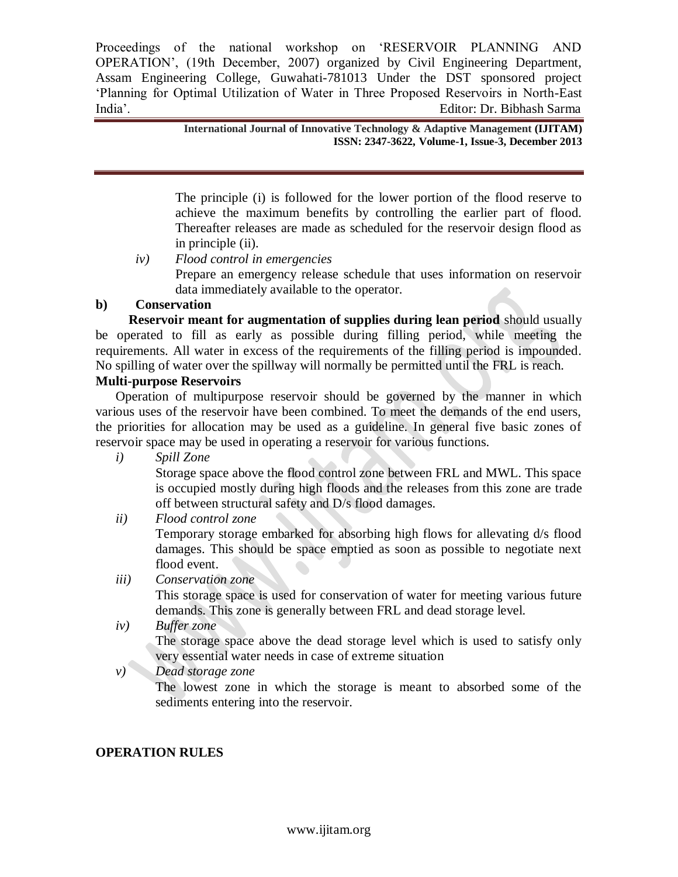> **International Journal of Innovative Technology & Adaptive Management (IJITAM) ISSN: 2347-3622, Volume-1, Issue-3, December 2013**

The principle (i) is followed for the lower portion of the flood reserve to achieve the maximum benefits by controlling the earlier part of flood. Thereafter releases are made as scheduled for the reservoir design flood as in principle (ii).

*iv) Flood control in emergencies* Prepare an emergency release schedule that uses information on reservoir data immediately available to the operator.

# **b) Conservation**

 **Reservoir meant for augmentation of supplies during lean period** should usually be operated to fill as early as possible during filling period, while meeting the requirements. All water in excess of the requirements of the filling period is impounded. No spilling of water over the spillway will normally be permitted until the FRL is reach.

# **Multi-purpose Reservoirs**

Operation of multipurpose reservoir should be governed by the manner in which various uses of the reservoir have been combined. To meet the demands of the end users, the priorities for allocation may be used as a guideline. In general five basic zones of reservoir space may be used in operating a reservoir for various functions.

*i) Spill Zone*

Storage space above the flood control zone between FRL and MWL. This space is occupied mostly during high floods and the releases from this zone are trade off between structural safety and D/s flood damages.

*ii) Flood control zone*

Temporary storage embarked for absorbing high flows for allevating d/s flood damages. This should be space emptied as soon as possible to negotiate next flood event.

*iii) Conservation zone*

This storage space is used for conservation of water for meeting various future demands. This zone is generally between FRL and dead storage level.

*iv) Buffer zone*

The storage space above the dead storage level which is used to satisfy only very essential water needs in case of extreme situation

*v) Dead storage zone*

The lowest zone in which the storage is meant to absorbed some of the sediments entering into the reservoir.

# **OPERATION RULES**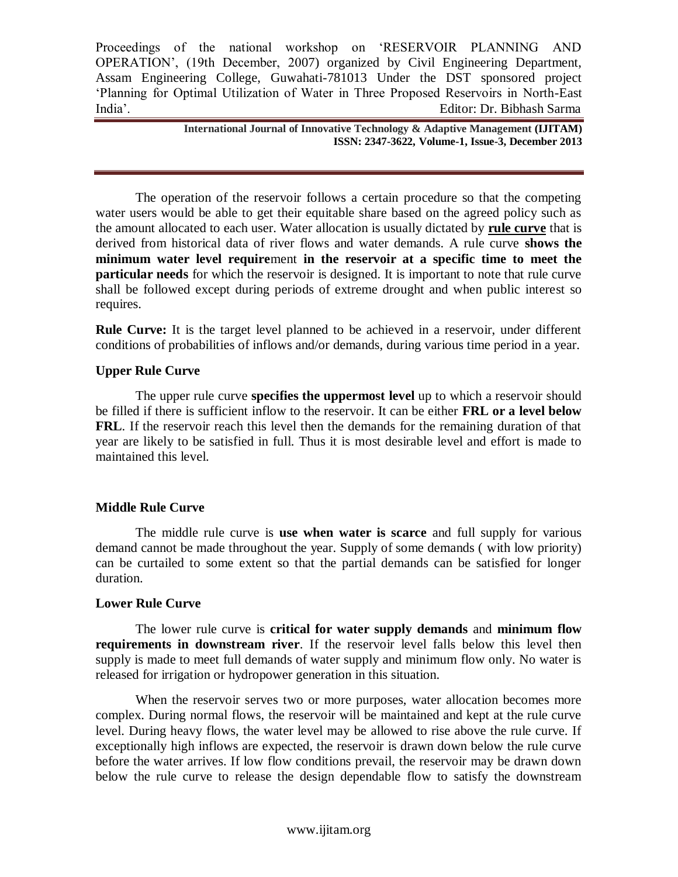> **International Journal of Innovative Technology & Adaptive Management (IJITAM) ISSN: 2347-3622, Volume-1, Issue-3, December 2013**

The operation of the reservoir follows a certain procedure so that the competing water users would be able to get their equitable share based on the agreed policy such as the amount allocated to each user. Water allocation is usually dictated by **rule curve** that is derived from historical data of river flows and water demands. A rule curve **shows the minimum water level require**ment **in the reservoir at a specific time to meet the particular needs** for which the reservoir is designed. It is important to note that rule curve shall be followed except during periods of extreme drought and when public interest so requires.

**Rule Curve:** It is the target level planned to be achieved in a reservoir, under different conditions of probabilities of inflows and/or demands, during various time period in a year.

#### **Upper Rule Curve**

The upper rule curve **specifies the uppermost level** up to which a reservoir should be filled if there is sufficient inflow to the reservoir. It can be either **FRL or a level below FRL**. If the reservoir reach this level then the demands for the remaining duration of that year are likely to be satisfied in full. Thus it is most desirable level and effort is made to maintained this level.

#### **Middle Rule Curve**

The middle rule curve is **use when water is scarce** and full supply for various demand cannot be made throughout the year. Supply of some demands ( with low priority) can be curtailed to some extent so that the partial demands can be satisfied for longer duration.

#### **Lower Rule Curve**

The lower rule curve is **critical for water supply demands** and **minimum flow requirements in downstream river**. If the reservoir level falls below this level then supply is made to meet full demands of water supply and minimum flow only. No water is released for irrigation or hydropower generation in this situation.

When the reservoir serves two or more purposes, water allocation becomes more complex. During normal flows, the reservoir will be maintained and kept at the rule curve level. During heavy flows, the water level may be allowed to rise above the rule curve. If exceptionally high inflows are expected, the reservoir is drawn down below the rule curve before the water arrives. If low flow conditions prevail, the reservoir may be drawn down below the rule curve to release the design dependable flow to satisfy the downstream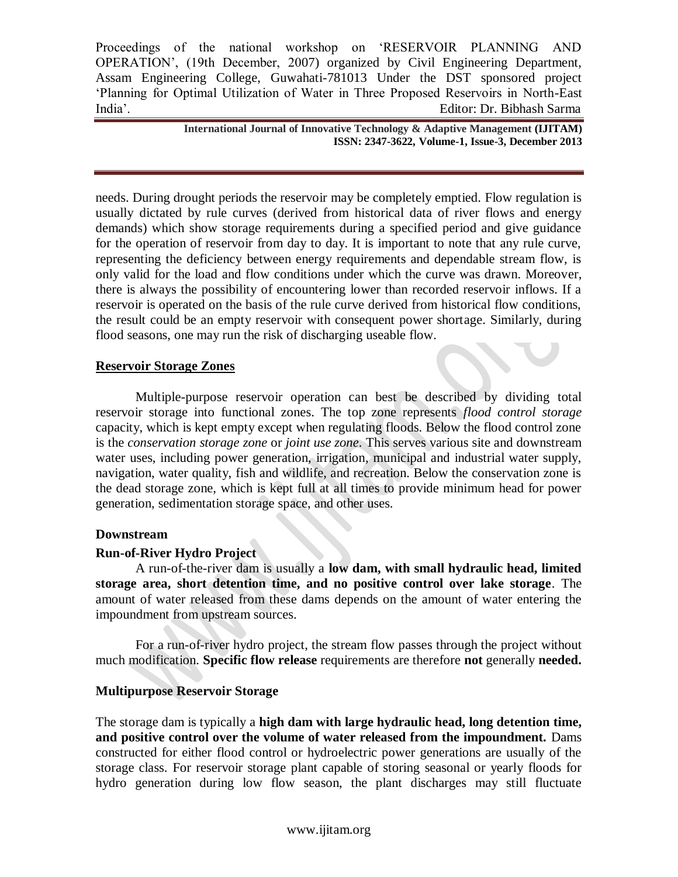> **International Journal of Innovative Technology & Adaptive Management (IJITAM) ISSN: 2347-3622, Volume-1, Issue-3, December 2013**

needs. During drought periods the reservoir may be completely emptied. Flow regulation is usually dictated by rule curves (derived from historical data of river flows and energy demands) which show storage requirements during a specified period and give guidance for the operation of reservoir from day to day. It is important to note that any rule curve, representing the deficiency between energy requirements and dependable stream flow, is only valid for the load and flow conditions under which the curve was drawn. Moreover, there is always the possibility of encountering lower than recorded reservoir inflows. If a reservoir is operated on the basis of the rule curve derived from historical flow conditions, the result could be an empty reservoir with consequent power shortage. Similarly, during flood seasons, one may run the risk of discharging useable flow.

#### **Reservoir Storage Zones**

Multiple-purpose reservoir operation can best be described by dividing total reservoir storage into functional zones. The top zone represents *flood control storage* capacity, which is kept empty except when regulating floods. Below the flood control zone is the *conservation storage zone* or *joint use zone*. This serves various site and downstream water uses, including power generation, irrigation, municipal and industrial water supply, navigation, water quality, fish and wildlife, and recreation. Below the conservation zone is the dead storage zone, which is kept full at all times to provide minimum head for power generation, sedimentation storage space, and other uses.

#### **Downstream**

#### **Run-of-River Hydro Project**

A run-of-the-river dam is usually a **low dam, with small hydraulic head, limited storage area, short detention time, and no positive control over lake storage**. The amount of water released from these dams depends on the amount of water entering the impoundment from upstream sources.

For a run-of-river hydro project, the stream flow passes through the project without much modification. **Specific flow release** requirements are therefore **not** generally **needed.**

#### **Multipurpose Reservoir Storage**

The storage dam is typically a **high dam with large hydraulic head, long detention time, and positive control over the volume of water released from the impoundment.** Dams constructed for either flood control or hydroelectric power generations are usually of the storage class. For reservoir storage plant capable of storing seasonal or yearly floods for hydro generation during low flow season, the plant discharges may still fluctuate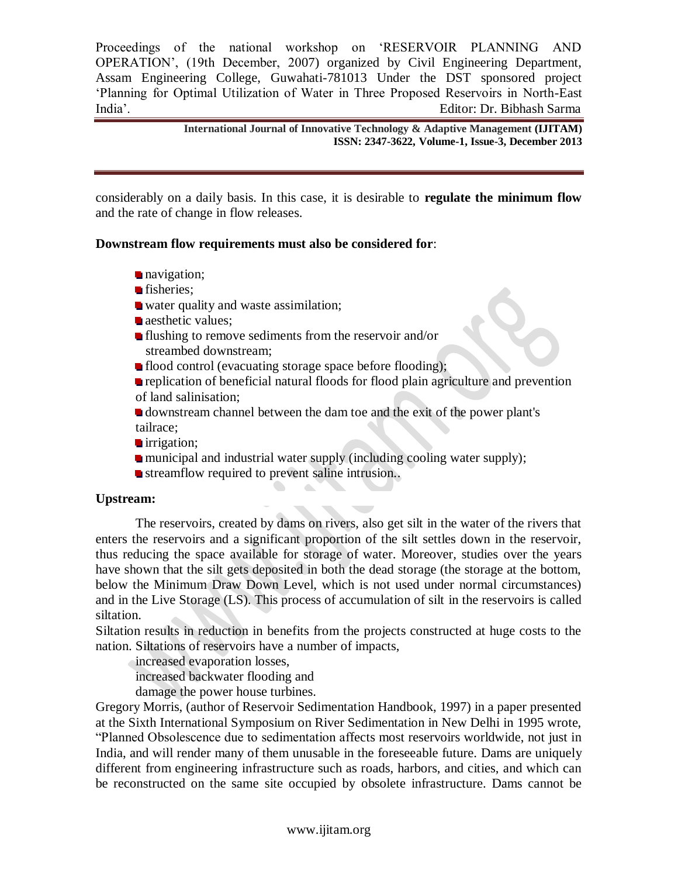> **International Journal of Innovative Technology & Adaptive Management (IJITAM) ISSN: 2347-3622, Volume-1, Issue-3, December 2013**

considerably on a daily basis. In this case, it is desirable to **regulate the minimum flow** and the rate of change in flow releases.

#### **Downstream flow requirements must also be considered for**:

- navigation;
- fisheries;
- water quality and waste assimilation;
- aesthetic values;
- **If** flushing to remove sediments from the reservoir and/or streambed downstream;
- **flood control (evacuating storage space before flooding);**
- **replication of beneficial natural floods for flood plain agriculture and prevention** of land salinisation;
- downstream channel between the dam toe and the exit of the power plant's tailrace;
- irrigation;
- municipal and industrial water supply (including cooling water supply);
- streamflow required to prevent saline intrusion...

#### **Upstream:**

The reservoirs, created by dams on rivers, also get silt in the water of the rivers that enters the reservoirs and a significant proportion of the silt settles down in the reservoir, thus reducing the space available for storage of water. Moreover, studies over the years have shown that the silt gets deposited in both the dead storage (the storage at the bottom, below the Minimum Draw Down Level, which is not used under normal circumstances) and in the Live Storage (LS). This process of accumulation of silt in the reservoirs is called siltation.

Siltation results in reduction in benefits from the projects constructed at huge costs to the nation. Siltations of reservoirs have a number of impacts,

increased evaporation losses,

increased backwater flooding and

damage the power house turbines.

Gregory Morris, (author of Reservoir Sedimentation Handbook, 1997) in a paper presented at the Sixth International Symposium on River Sedimentation in New Delhi in 1995 wrote, "Planned Obsolescence due to sedimentation affects most reservoirs worldwide, not just in India, and will render many of them unusable in the foreseeable future. Dams are uniquely different from engineering infrastructure such as roads, harbors, and cities, and which can be reconstructed on the same site occupied by obsolete infrastructure. Dams cannot be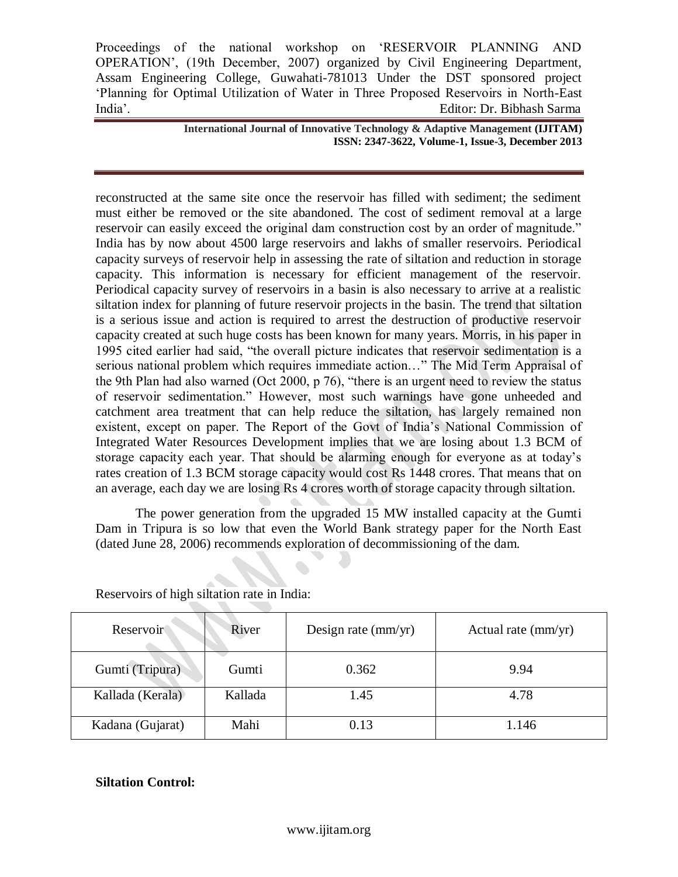> **International Journal of Innovative Technology & Adaptive Management (IJITAM) ISSN: 2347-3622, Volume-1, Issue-3, December 2013**

reconstructed at the same site once the reservoir has filled with sediment; the sediment must either be removed or the site abandoned. The cost of sediment removal at a large reservoir can easily exceed the original dam construction cost by an order of magnitude." India has by now about 4500 large reservoirs and lakhs of smaller reservoirs. Periodical capacity surveys of reservoir help in assessing the rate of siltation and reduction in storage capacity. This information is necessary for efficient management of the reservoir. Periodical capacity survey of reservoirs in a basin is also necessary to arrive at a realistic siltation index for planning of future reservoir projects in the basin. The trend that siltation is a serious issue and action is required to arrest the destruction of productive reservoir capacity created at such huge costs has been known for many years. Morris, in his paper in 1995 cited earlier had said, "the overall picture indicates that reservoir sedimentation is a serious national problem which requires immediate action…" The Mid Term Appraisal of the 9th Plan had also warned (Oct 2000, p 76), "there is an urgent need to review the status of reservoir sedimentation." However, most such warnings have gone unheeded and catchment area treatment that can help reduce the siltation, has largely remained non existent, except on paper. The Report of the Govt of India"s National Commission of Integrated Water Resources Development implies that we are losing about 1.3 BCM of storage capacity each year. That should be alarming enough for everyone as at today"s rates creation of 1.3 BCM storage capacity would cost Rs 1448 crores. That means that on an average, each day we are losing Rs 4 crores worth of storage capacity through siltation.

The power generation from the upgraded 15 MW installed capacity at the Gumti Dam in Tripura is so low that even the World Bank strategy paper for the North East (dated June 28, 2006) recommends exploration of decommissioning of the dam.

| Reservoir        | River   | Design rate $\text{(mm/yr)}$ | Actual rate (mm/yr) |
|------------------|---------|------------------------------|---------------------|
| Gumti (Tripura)  | Gumti   | 0.362                        | 9.94                |
| Kallada (Kerala) | Kallada | 1.45                         | 4.78                |
| Kadana (Gujarat) | Mahi    | 0.13                         | 1.146               |

Reservoirs of high siltation rate in India:

#### **Siltation Control:**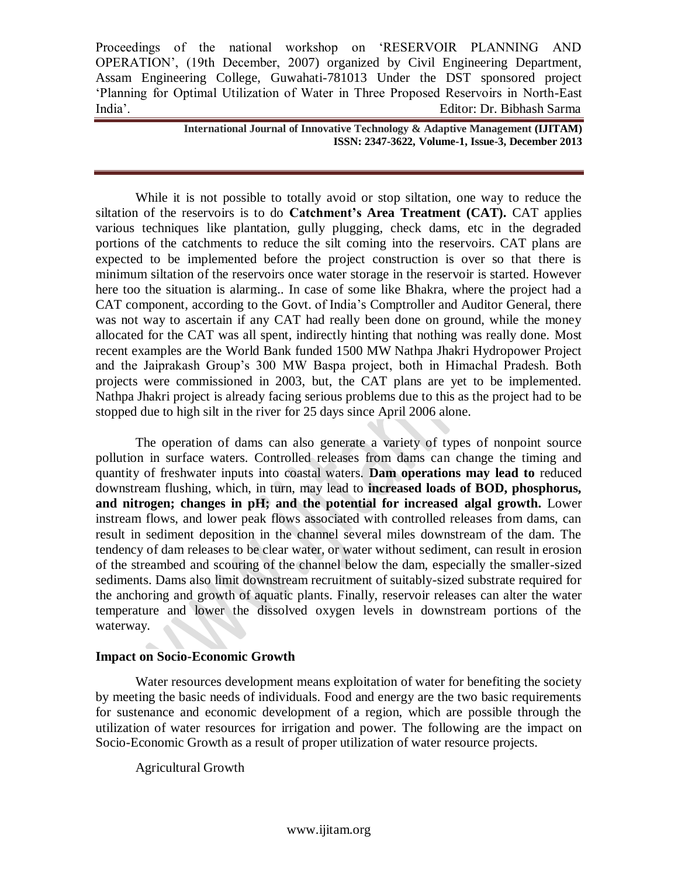> **International Journal of Innovative Technology & Adaptive Management (IJITAM) ISSN: 2347-3622, Volume-1, Issue-3, December 2013**

While it is not possible to totally avoid or stop siltation, one way to reduce the siltation of the reservoirs is to do **Catchment's Area Treatment (CAT).** CAT applies various techniques like plantation, gully plugging, check dams, etc in the degraded portions of the catchments to reduce the silt coming into the reservoirs. CAT plans are expected to be implemented before the project construction is over so that there is minimum siltation of the reservoirs once water storage in the reservoir is started. However here too the situation is alarming.. In case of some like Bhakra, where the project had a CAT component, according to the Govt. of India"s Comptroller and Auditor General, there was not way to ascertain if any CAT had really been done on ground, while the money allocated for the CAT was all spent, indirectly hinting that nothing was really done. Most recent examples are the World Bank funded 1500 MW Nathpa Jhakri Hydropower Project and the Jaiprakash Group"s 300 MW Baspa project, both in Himachal Pradesh. Both projects were commissioned in 2003, but, the CAT plans are yet to be implemented. Nathpa Jhakri project is already facing serious problems due to this as the project had to be stopped due to high silt in the river for 25 days since April 2006 alone.

The operation of dams can also generate a variety of types of nonpoint source pollution in surface waters. Controlled releases from dams can change the timing and quantity of freshwater inputs into coastal waters. **Dam operations may lead to** reduced downstream flushing, which, in turn, may lead to **increased loads of BOD, phosphorus, and nitrogen; changes in pH; and the potential for increased algal growth.** Lower instream flows, and lower peak flows associated with controlled releases from dams, can result in sediment deposition in the channel several miles downstream of the dam. The tendency of dam releases to be clear water, or water without sediment, can result in erosion of the streambed and scouring of the channel below the dam, especially the smaller-sized sediments. Dams also limit downstream recruitment of suitably-sized substrate required for the anchoring and growth of aquatic plants. Finally, reservoir releases can alter the water temperature and lower the dissolved oxygen levels in downstream portions of the waterway.

#### **Impact on Socio-Economic Growth**

Water resources development means exploitation of water for benefiting the society by meeting the basic needs of individuals. Food and energy are the two basic requirements for sustenance and economic development of a region, which are possible through the utilization of water resources for irrigation and power. The following are the impact on Socio-Economic Growth as a result of proper utilization of water resource projects.

Agricultural Growth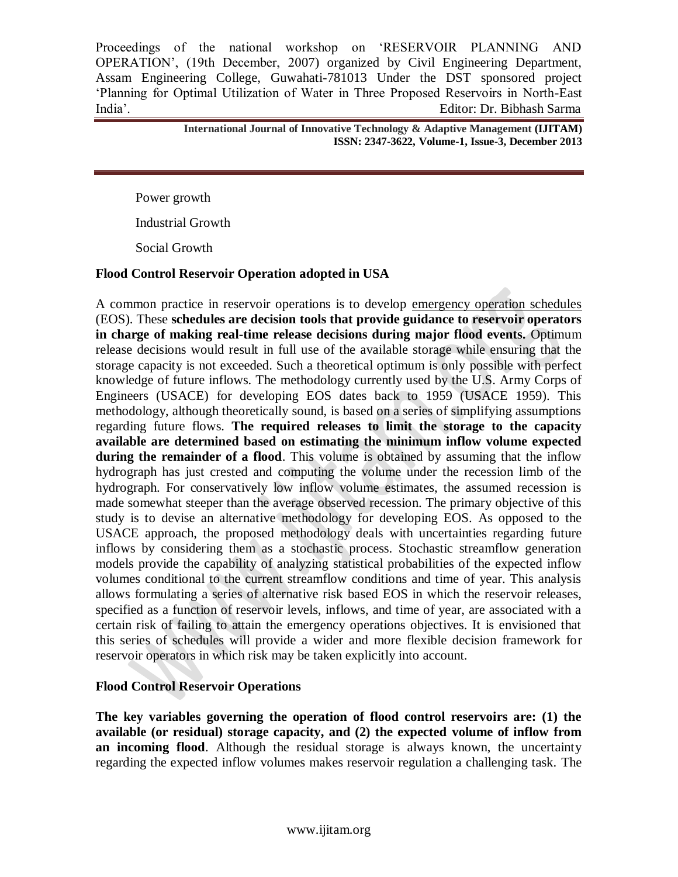> **International Journal of Innovative Technology & Adaptive Management (IJITAM) ISSN: 2347-3622, Volume-1, Issue-3, December 2013**

Power growth

Industrial Growth

Social Growth

#### **Flood Control Reservoir Operation adopted in USA**

A common practice in reservoir operations is to develop emergency operation schedules (EOS). These **schedules are decision tools that provide guidance to reservoir operators in charge of making real-time release decisions during major flood events.** Optimum release decisions would result in full use of the available storage while ensuring that the storage capacity is not exceeded. Such a theoretical optimum is only possible with perfect knowledge of future inflows. The methodology currently used by the U.S. Army Corps of Engineers (USACE) for developing EOS dates back to 1959 (USACE 1959). This methodology, although theoretically sound, is based on a series of simplifying assumptions regarding future flows. **The required releases to limit the storage to the capacity available are determined based on estimating the minimum inflow volume expected during the remainder of a flood**. This volume is obtained by assuming that the inflow hydrograph has just crested and computing the volume under the recession limb of the hydrograph. For conservatively low inflow volume estimates, the assumed recession is made somewhat steeper than the average observed recession. The primary objective of this study is to devise an alternative methodology for developing EOS. As opposed to the USACE approach, the proposed methodology deals with uncertainties regarding future inflows by considering them as a stochastic process. Stochastic streamflow generation models provide the capability of analyzing statistical probabilities of the expected inflow volumes conditional to the current streamflow conditions and time of year. This analysis allows formulating a series of alternative risk based EOS in which the reservoir releases, specified as a function of reservoir levels, inflows, and time of year, are associated with a certain risk of failing to attain the emergency operations objectives. It is envisioned that this series of schedules will provide a wider and more flexible decision framework for reservoir operators in which risk may be taken explicitly into account.

#### **Flood Control Reservoir Operations**

**The key variables governing the operation of flood control reservoirs are: (1) the available (or residual) storage capacity, and (2) the expected volume of inflow from an incoming flood**. Although the residual storage is always known, the uncertainty regarding the expected inflow volumes makes reservoir regulation a challenging task. The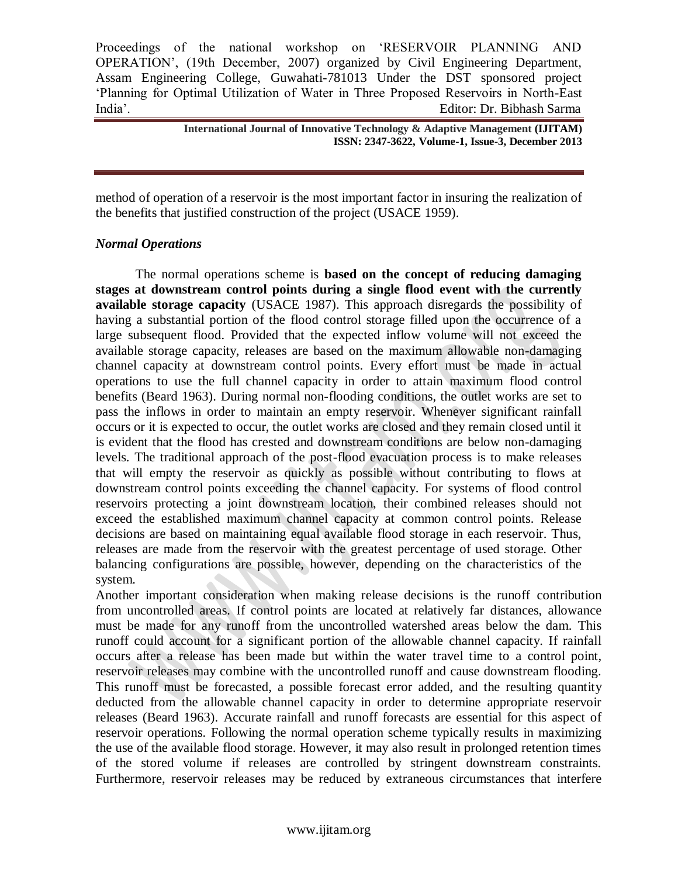**International Journal of Innovative Technology & Adaptive Management (IJITAM) ISSN: 2347-3622, Volume-1, Issue-3, December 2013**

method of operation of a reservoir is the most important factor in insuring the realization of the benefits that justified construction of the project (USACE 1959).

#### *Normal Operations*

The normal operations scheme is **based on the concept of reducing damaging stages at downstream control points during a single flood event with the currently available storage capacity** (USACE 1987). This approach disregards the possibility of having a substantial portion of the flood control storage filled upon the occurrence of a large subsequent flood. Provided that the expected inflow volume will not exceed the available storage capacity, releases are based on the maximum allowable non-damaging channel capacity at downstream control points. Every effort must be made in actual operations to use the full channel capacity in order to attain maximum flood control benefits (Beard 1963). During normal non-flooding conditions, the outlet works are set to pass the inflows in order to maintain an empty reservoir. Whenever significant rainfall occurs or it is expected to occur, the outlet works are closed and they remain closed until it is evident that the flood has crested and downstream conditions are below non-damaging levels. The traditional approach of the post-flood evacuation process is to make releases that will empty the reservoir as quickly as possible without contributing to flows at downstream control points exceeding the channel capacity. For systems of flood control reservoirs protecting a joint downstream location, their combined releases should not exceed the established maximum channel capacity at common control points. Release decisions are based on maintaining equal available flood storage in each reservoir. Thus, releases are made from the reservoir with the greatest percentage of used storage. Other balancing configurations are possible, however, depending on the characteristics of the system.

Another important consideration when making release decisions is the runoff contribution from uncontrolled areas. If control points are located at relatively far distances, allowance must be made for any runoff from the uncontrolled watershed areas below the dam. This runoff could account for a significant portion of the allowable channel capacity. If rainfall occurs after a release has been made but within the water travel time to a control point, reservoir releases may combine with the uncontrolled runoff and cause downstream flooding. This runoff must be forecasted, a possible forecast error added, and the resulting quantity deducted from the allowable channel capacity in order to determine appropriate reservoir releases (Beard 1963). Accurate rainfall and runoff forecasts are essential for this aspect of reservoir operations. Following the normal operation scheme typically results in maximizing the use of the available flood storage. However, it may also result in prolonged retention times of the stored volume if releases are controlled by stringent downstream constraints. Furthermore, reservoir releases may be reduced by extraneous circumstances that interfere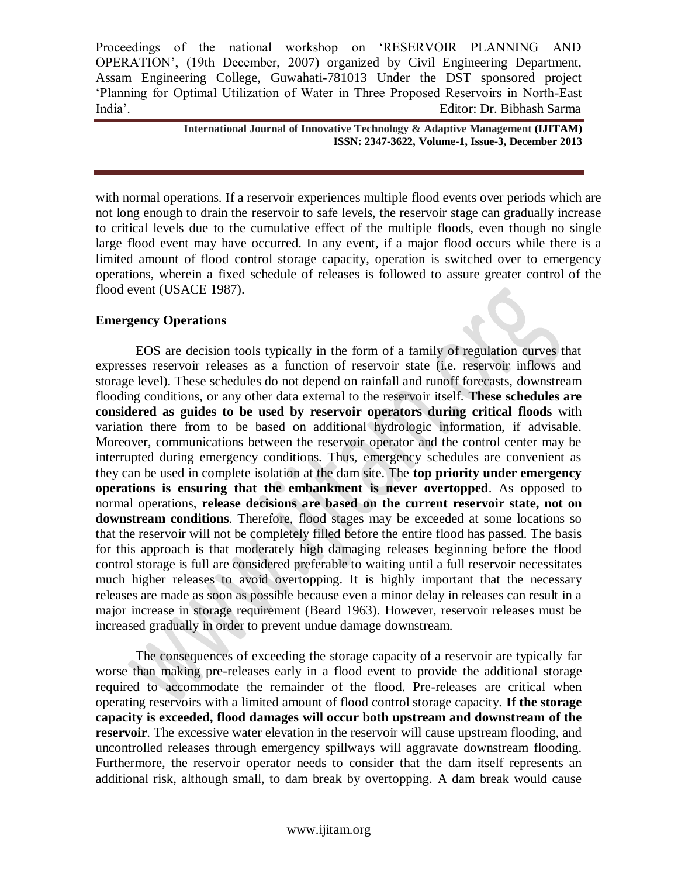> **International Journal of Innovative Technology & Adaptive Management (IJITAM) ISSN: 2347-3622, Volume-1, Issue-3, December 2013**

with normal operations. If a reservoir experiences multiple flood events over periods which are not long enough to drain the reservoir to safe levels, the reservoir stage can gradually increase to critical levels due to the cumulative effect of the multiple floods, even though no single large flood event may have occurred. In any event, if a major flood occurs while there is a limited amount of flood control storage capacity, operation is switched over to emergency operations, wherein a fixed schedule of releases is followed to assure greater control of the flood event (USACE 1987).

#### **Emergency Operations**

EOS are decision tools typically in the form of a family of regulation curves that expresses reservoir releases as a function of reservoir state (i.e. reservoir inflows and storage level). These schedules do not depend on rainfall and runoff forecasts, downstream flooding conditions, or any other data external to the reservoir itself. **These schedules are considered as guides to be used by reservoir operators during critical floods** with variation there from to be based on additional hydrologic information, if advisable. Moreover, communications between the reservoir operator and the control center may be interrupted during emergency conditions. Thus, emergency schedules are convenient as they can be used in complete isolation at the dam site. The **top priority under emergency operations is ensuring that the embankment is never overtopped**. As opposed to normal operations, **release decisions are based on the current reservoir state, not on downstream conditions**. Therefore, flood stages may be exceeded at some locations so that the reservoir will not be completely filled before the entire flood has passed. The basis for this approach is that moderately high damaging releases beginning before the flood control storage is full are considered preferable to waiting until a full reservoir necessitates much higher releases to avoid overtopping. It is highly important that the necessary releases are made as soon as possible because even a minor delay in releases can result in a major increase in storage requirement (Beard 1963). However, reservoir releases must be increased gradually in order to prevent undue damage downstream.

The consequences of exceeding the storage capacity of a reservoir are typically far worse than making pre-releases early in a flood event to provide the additional storage required to accommodate the remainder of the flood. Pre-releases are critical when operating reservoirs with a limited amount of flood control storage capacity. **If the storage capacity is exceeded, flood damages will occur both upstream and downstream of the reservoir**. The excessive water elevation in the reservoir will cause upstream flooding, and uncontrolled releases through emergency spillways will aggravate downstream flooding. Furthermore, the reservoir operator needs to consider that the dam itself represents an additional risk, although small, to dam break by overtopping. A dam break would cause